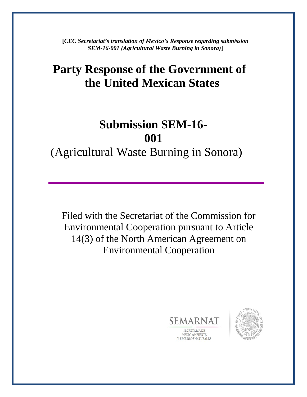**[***CEC Secretariat's translation of Mexico's Response regarding submission SEM-16-001 (Agricultural Waste Burning in Sonora)***]**

## **Party Response of the Government of the United Mexican States**

# **Submission SEM-16- 001**

(Agricultural Waste Burning in Sonora)

Filed with the Secretariat of the Commission for Environmental Cooperation pursuant to Article 14(3) of the North American Agreement on Environmental Cooperation



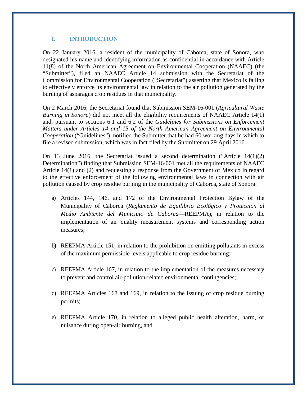#### **I. INTRODUCTION**

On 22 January 2016, a resident of the municipality of Caborca, state of Sonora, who designated his name and identifying information as confidential in accordance with Article 11(8) of the North American Agreement on Environmental Cooperation (NAAEC) (the "Submitter"), filed an NAAEC Article 14 submission with the Secretariat of the Commission for Environmental Cooperation ("Secretariat") asserting that Mexico is failing to effectively enforce its environmental law in relation to the air pollution generated by the burning of asparagus crop residues in that municipality.

On 2 March 2016, the Secretariat found that Submission SEM-16-001 (*Agricultural Waste Burning in Sonora*) did not meet all the eligibility requirements of NAAEC Article 14(1) and, pursuant to sections 6.1 and 6.2 of the *Guidelines for Submissions on Enforcement Matters under Articles 14 and 15 of the North American Agreement on Environmental Cooperation* ("Guidelines"), notified the Submitter that he had 60 working days in which to file a revised submission, which was in fact filed by the Submitter on 29 April 2016.

On 13 June 2016, the Secretariat issued a second determination ("Article 14(1)(2) Determination") finding that Submission SEM-16-001 met all the requirements of NAAEC Article 14(1) and (2) and requesting a response from the Government of Mexico in regard to the effective enforcement of the following environmental laws in connection with air pollution caused by crop residue burning in the municipality of Caborca, state of Sonora:

- a) Articles 144, 146, and 172 of the Environmental Protection Bylaw of the Municipality of Caborca (*Reglamento de Equilibrio Ecológico y Protección al Medio Ambiente del Municipio de Caborca*—REEPMA), in relation to the implementation of air quality measurement systems and corresponding action measures;
- b) REEPMA Article 151, in relation to the prohibition on emitting pollutants in excess of the maximum permissible levels applicable to crop residue burning;
- c) REEPMA Article 167, in relation to the implementation of the measures necessary to prevent and control air-pollution-related environmental contingencies;
- d) REEPMA Articles 168 and 169, in relation to the issuing of crop residue burning permits;
- e) REEPMA Article 170, in relation to alleged public health alteration, harm, or nuisance during open-air burning, and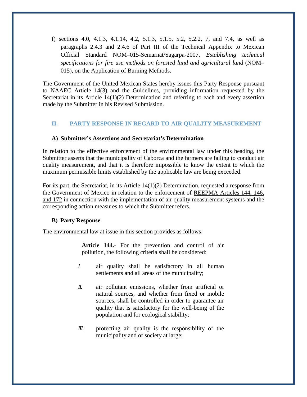f) sections 4.0, 4.1.3, 4.1.14, 4.2, 5.1.3, 5.1.5, 5.2, 5.2.2, 7, and 7.4, as well as paragraphs 2.4.3 and 2.4.6 of Part III of the Technical Appendix to Mexican Official Standard NOM–015-Semarnat/Sagarpa-2007, *Establishing technical specifications for fire use methods on forested land and agricultural land* (NOM– 015), on the Application of Burning Methods.

The Government of the United Mexican States hereby issues this Party Response pursuant to NAAEC Article 14(3) and the Guidelines, providing information requested by the Secretariat in its Article 14(1)(2) Determination and referring to each and every assertion made by the Submitter in his Revised Submission.

## **II. PARTY RESPONSE IN REGARD TO AIR QUALITY MEASUREMENT**

## **A) Submitter's Assertions and Secretariat's Determination**

In relation to the effective enforcement of the environmental law under this heading, the Submitter asserts that the municipality of Caborca and the farmers are failing to conduct air quality measurement, and that it is therefore impossible to know the extent to which the maximum permissible limits established by the applicable law are being exceeded.

For its part, the Secretariat, in its Article 14(1)(2) Determination, requested a response from the Government of Mexico in relation to the enforcement of REEPMA Articles 144, 146, and 172 in connection with the implementation of air quality measurement systems and the corresponding action measures to which the Submitter refers.

#### **B) Party Response**

The environmental law at issue in this section provides as follows:

**Article 144.-** For the prevention and control of air pollution, the following criteria shall be considered:

- *I.* air quality shall be satisfactory in all human settlements and all areas of the municipality;
- *II.* air pollutant emissions, whether from artificial or natural sources, and whether from fixed or mobile sources, shall be controlled in order to guarantee air quality that is satisfactory for the well-being of the population and for ecological stability;
- *III.* protecting air quality is the responsibility of the municipality and of society at large;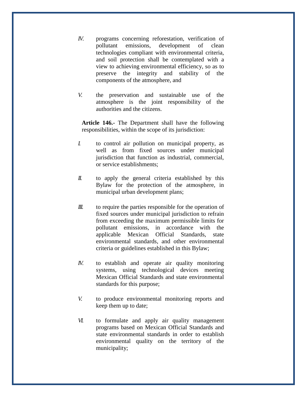- *IV.* programs concerning reforestation, verification of pollutant emissions, development of clean technologies compliant with environmental criteria, and soil protection shall be contemplated with a view to achieving environmental efficiency, so as to preserve the integrity and stability of the components of the atmosphere, and
- *V.* the preservation and sustainable use of the atmosphere is the joint responsibility of the authorities and the citizens.

**Article 146.-** The Department shall have the following responsibilities, within the scope of its jurisdiction:

- *I.* to control air pollution on municipal property, as well as from fixed sources under municipal jurisdiction that function as industrial, commercial, or service establishments;
- *II.* to apply the general criteria established by this Bylaw for the protection of the atmosphere, in municipal urban development plans;
- *III.* to require the parties responsible for the operation of fixed sources under municipal jurisdiction to refrain from exceeding the maximum permissible limits for pollutant emissions, in accordance with the applicable Mexican Official Standards, state environmental standards, and other environmental criteria or guidelines established in this Bylaw;
- *IV.* to establish and operate air quality monitoring systems, using technological devices meeting Mexican Official Standards and state environmental standards for this purpose;
- *V.* to produce environmental monitoring reports and keep them up to date;
- *VI.* to formulate and apply air quality management programs based on Mexican Official Standards and state environmental standards in order to establish environmental quality on the territory of the municipality;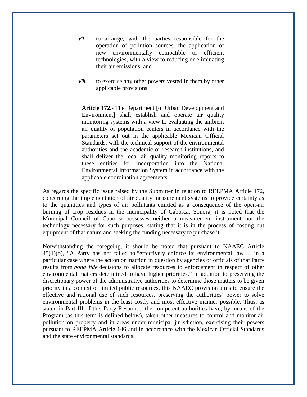- *VII.* to arrange, with the parties responsible for the operation of pollution sources, the application of new environmentally compatible or efficient technologies, with a view to reducing or eliminating their air emissions, and
- *VIII.* to exercise any other powers vested in them by other applicable provisions.

**Article 172.-** The Department [of Urban Development and Environment] shall establish and operate air quality monitoring systems with a view to evaluating the ambient air quality of population centers in accordance with the parameters set out in the applicable Mexican Official Standards, with the technical support of the environmental authorities and the academic or research institutions, and shall deliver the local air quality monitoring reports to these entities for incorporation into the National Environmental Information System in accordance with the applicable coordination agreements.

As regards the specific issue raised by the Submitter in relation to REEPMA Article 172, concerning the implementation of air quality measurement systems to provide certainty as to the quantities and types of air pollutants emitted as a consequence of the open-air burning of crop residues in the municipality of Caborca, Sonora, it is noted that the Municipal Council of Caborca possesses neither a measurement instrument nor the technology necessary for such purposes, stating that it is in the process of costing out equipment of that nature and seeking the funding necessary to purchase it.

Notwithstanding the foregoing, it should be noted that pursuant to NAAEC Article 45(1)(b), "A Party has not failed to "effectively enforce its environmental law … in a particular case where the action or inaction in question by agencies or officials of that Party results from *bona fide* decisions to allocate resources to enforcement in respect of other environmental matters determined to have higher priorities." In addition to preserving the discretionary power of the administrative authorities to determine those matters to be given priority in a context of limited public resources, this NAAEC provision aims to ensure the effective and rational use of such resources, preserving the authorities' power to solve environmental problems in the least costly and most effective manner possible. Thus, as stated in Part III of this Party Response, the competent authorities have, by means of the Program (as this term is defined below), taken other measures to control and monitor air pollution on property and in areas under municipal jurisdiction, exercising their powers pursuant to REEPMA Article 146 and in accordance with the Mexican Official Standards and the state environmental standards.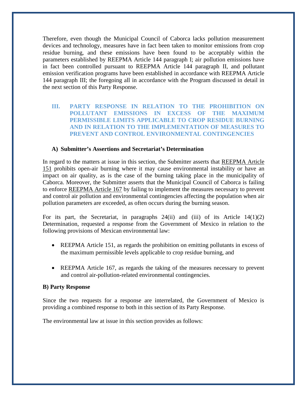Therefore, even though the Municipal Council of Caborca lacks pollution measurement devices and technology, measures have in fact been taken to monitor emissions from crop residue burning, and these emissions have been found to be acceptably within the parameters established by REEPMA Article 144 paragraph I; air pollution emissions have in fact been controlled pursuant to REEPMA Article 144 paragraph II, and pollutant emission verification programs have been established in accordance with REEPMA Article 144 paragraph III; the foregoing all in accordance with the Program discussed in detail in the next section of this Party Response.

## **III. PARTY RESPONSE IN RELATION TO THE PROHIBITION ON POLLUTANT EMISSIONS IN EXCESS OF THE MAXIMUM PERMISSIBLE LIMITS APPLICABLE TO CROP RESIDUE BURNING AND IN RELATION TO THE IMPLEMENTATION OF MEASURES TO PREVENT AND CONTROL ENVIRONMENTAL CONTINGENCIES**

## **A) Submitter's Assertions and Secretariat's Determination**

In regard to the matters at issue in this section, the Submitter asserts that REEPMA Article 151 prohibits open-air burning where it may cause environmental instability or have an impact on air quality, as is the case of the burning taking place in the municipality of Caborca. Moreover, the Submitter asserts that the Municipal Council of Caborca is failing to enforce REEPMA Article 167 by failing to implement the measures necessary to prevent and control air pollution and environmental contingencies affecting the population when air pollution parameters are exceeded, as often occurs during the burning season.

For its part, the Secretariat, in paragraphs  $24(ii)$  and (iii) of its Article  $14(1)(2)$ Determination, requested a response from the Government of Mexico in relation to the following provisions of Mexican environmental law:

- REEPMA Article 151, as regards the prohibition on emitting pollutants in excess of the maximum permissible levels applicable to crop residue burning, and
- REEPMA Article 167, as regards the taking of the measures necessary to prevent and control air-pollution-related environmental contingencies.

#### **B) Party Response**

Since the two requests for a response are interrelated, the Government of Mexico is providing a combined response to both in this section of its Party Response.

The environmental law at issue in this section provides as follows: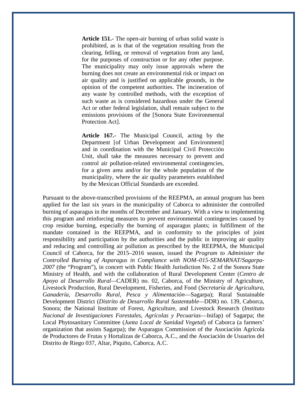**Article 151.-** The open-air burning of urban solid waste is prohibited, as is that of the vegetation resulting from the clearing, felling, or removal of vegetation from any land, for the purposes of construction or for any other purpose. The municipality may only issue approvals where the burning does not create an environmental risk or impact on air quality and is justified on applicable grounds, in the opinion of the competent authorities. The incineration of any waste by controlled methods, with the exception of such waste as is considered hazardous under the General Act or other federal legislation, shall remain subject to the emissions provisions of the [Sonora State Environmental Protection Act].

**Article 167.-** The Municipal Council, acting by the Department [of Urban Development and Environment] and in coordination with the Municipal Civil Protección Unit, shall take the measures necessary to prevent and control air pollution-related environmental contingencies, for a given area and/or for the whole population of the municipality, where the air quality parameters established by the Mexican Official Standards are exceeded.

Pursuant to the above-transcribed provisions of the REEPMA, an annual program has been applied for the last six years in the municipality of Caborca to administer the controlled burning of asparagus in the months of December and January. With a view to implementing this program and reinforcing measures to prevent environmental contingencies caused by crop residue burning, especially the burning of asparagus plants; in fulfillment of the mandate contained in the REEPMA, and in conformity to the principles of joint responsibility and participation by the authorities and the public in improving air quality and reducing and controlling air pollution as prescribed by the REEPMA, the Municipal Council of Caborca, for the 2015–2016 season, issued the *Program to Administer the Controlled Burning of Asparagus in Compliance with NOM–015-SEMARNAT/Sagarpa-2007* (the "Program"), in concert with Public Health Jurisdiction No. 2 of the Sonora State Ministry of Health, and with the collaboration of Rural Development Center (*Centro de Apoyo al Desarrollo Rural—*CADER) no. 02, Caborca, of the Ministry of Agriculture, Livestock Production, Rural Development, Fisheries, and Food (*Secretaría de Agricultura, Ganadería, Desarrollo Rural, Pesca y Alimentación*—Sagarpa); Rural Sustainable Development District (*Distrito de Desarrollo Rural Sustentable—*DDR) no. 139, Caborca, Sonora; the National Institute of Forest, Agriculture, and Livestock Research (*Instituto Nacional de Investigaciones Forestales, Agrícolas y Pecuarias*—Inifap) of Sagarpa; the Local Phytosanitary Committee (*Junta Local de Sanidad Vegetal*) of Caborca (a farmers' organization that assists Sagarpa); the Asparagus Commission of the Asociación Agrícola de Productores de Frutas y Hortalizas de Caborca, A.C., and the Asociación de Usuarios del Distrito de Riego 037, Altar, Piquito, Caborca, A.C.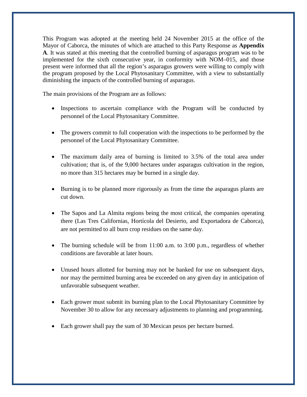This Program was adopted at the meeting held 24 November 2015 at the office of the Mayor of Caborca, the minutes of which are attached to this Party Response as **Appendix A**. It was stated at this meeting that the controlled burning of asparagus program was to be implemented for the sixth consecutive year, in conformity with NOM–015, and those present were informed that all the region's asparagus growers were willing to comply with the program proposed by the Local Phytosanitary Committee, with a view to substantially diminishing the impacts of the controlled burning of asparagus.

The main provisions of the Program are as follows:

- Inspections to ascertain compliance with the Program will be conducted by personnel of the Local Phytosanitary Committee.
- The growers commit to full cooperation with the inspections to be performed by the personnel of the Local Phytosanitary Committee.
- The maximum daily area of burning is limited to 3.5% of the total area under cultivation; that is, of the 9,000 hectares under asparagus cultivation in the region, no more than 315 hectares may be burned in a single day.
- Burning is to be planned more rigorously as from the time the asparagus plants are cut down.
- The Sapos and La Almita regions being the most critical, the companies operating there (Las Tres Californias, Hortícola del Desierto, and Exportadora de Caborca), are not permitted to all burn crop residues on the same day.
- The burning schedule will be from 11:00 a.m. to 3:00 p.m., regardless of whether conditions are favorable at later hours.
- Unused hours allotted for burning may not be banked for use on subsequent days, nor may the permitted burning area be exceeded on any given day in anticipation of unfavorable subsequent weather.
- Each grower must submit its burning plan to the Local Phytosanitary Committee by November 30 to allow for any necessary adjustments to planning and programming.
- Each grower shall pay the sum of 30 Mexican pesos per hectare burned.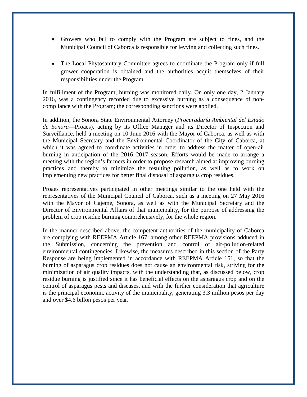- Growers who fail to comply with the Program are subject to fines, and the Municipal Council of Caborca is responsible for levying and collecting such fines.
- The Local Phytosanitary Committee agrees to coordinate the Program only if full grower cooperation is obtained and the authorities acquit themselves of their responsibilities under the Program.

In fulfillment of the Program, burning was monitored daily. On only one day, 2 January 2016, was a contingency recorded due to excessive burning as a consequence of noncompliance with the Program; the corresponding sanctions were applied.

In addition, the Sonora State Environmental Attorney (*Procuraduría Ambiental del Estado de Sonora*—Proaes), acting by its Office Manager and its Director of Inspection and Surveillance, held a meeting on 10 June 2016 with the Mayor of Caborca, as well as with the Municipal Secretary and the Environmental Coordinator of the City of Caborca, at which it was agreed to coordinate activities in order to address the matter of open-air burning in anticipation of the 2016–2017 season. Efforts would be made to arrange a meeting with the region's farmers in order to propose research aimed at improving burning practices and thereby to minimize the resulting pollution, as well as to work on implementing new practices for better final disposal of asparagus crop residues.

Proaes representatives participated in other meetings similar to the one held with the representatives of the Municipal Council of Caborca, such as a meeting on 27 May 2016 with the Mayor of Cajeme, Sonora, as well as with the Municipal Secretary and the Director of Environmental Affairs of that municipality, for the purpose of addressing the problem of crop residue burning comprehensively, for the whole region.

In the manner described above, the competent authorities of the municipality of Caborca are complying with REEPMA Article 167, among other REEPMA provisions adduced in the Submission, concerning the prevention and control of air-pollution-related environmental contingencies. Likewise, the measures described in this section of the Party Response are being implemented in accordance with REEPMA Article 151, so that the burning of asparagus crop residues does not cause an environmental risk, striving for the minimization of air quality impacts, with the understanding that, as discussed below, crop residue burning is justified since it has beneficial effects on the asparagus crop and on the control of asparagus pests and diseases, and with the further consideration that agriculture is the principal economic activity of the municipality, generating 3.3 million pesos per day and over \$4.6 billon pesos per year.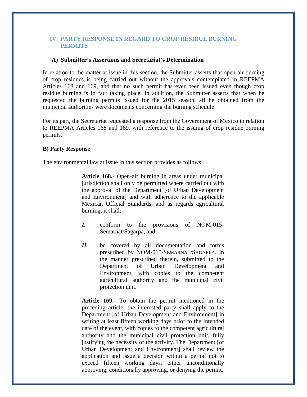## **IV. PARTY RESPONSE IN REGARD TO CROP RESIDUE BURNING PERMITS**

#### **A) Submitter's Assertions and Secretariat's Determination**

In relation to the matter at issue in this section, the Submitter asserts that open-air burning of crop residues is being carried out without the approvals contemplated in REEPMA Articles 168 and 169, and that no such permit has ever been issued even though crop residue burning is in fact taking place. In addition, the Submitter asserts that when he requested the burning permits issued for the 2015 season, all he obtained from the municipal authorities were documents concerning the burning schedule.

For its part, the Secretariat requested a response from the Government of Mexico in relation to REEPMA Articles 168 and 169, with reference to the issuing of crop residue burning permits.

#### **B) Party Response**

The environmental law at issue in this section provides as follows:

**Article 168.-** Open-air burning in areas under municipal jurisdiction shall only be permitted where carried out with the approval of the Department [of Urban Development and Environment] and with adherence to the applicable Mexican Official Standards, and as regards agricultural burning, it shall:

- *I.* conform to the provisions of NOM-015- Semarnat/Sagarpa, and
- *II.* be covered by all documentation and forms prescribed by NOM-015-SEMARNAT/SAGARPA, in the manner prescribed therein, submitted to the Department of Urban Development and Environment, with copies to the competent agricultural authority and the municipal civil protection unit.

**Article 169.-** To obtain the permit mentioned in the preceding article, the interested party shall apply to the Department [of Urban Development and Environment] in writing at least fifteen working days prior to the intended date of the event, with copies to the competent agricultural authority and the municipal civil protection unit, fully justifying the necessity of the activity. The Department [of Urban Development and Environment] shall review the application and issue a decision within a period not to exceed fifteen working days, either unconditionally approving, conditionally approving, or denying the permit.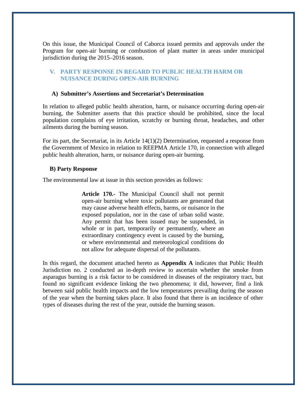On this issue, the Municipal Council of Caborca issued permits and approvals under the Program for open-air burning or combustion of plant matter in areas under municipal jurisdiction during the 2015–2016 season.

## **V. PARTY RESPONSE IN REGARD TO PUBLIC HEALTH HARM OR NUISANCE DURING OPEN-AIR BURNING**

#### **A) Submitter's Assertions and Secretariat's Determination**

In relation to alleged public health alteration, harm, or nuisance occurring during open-air burning, the Submitter asserts that this practice should be prohibited, since the local population complains of eye irritation, scratchy or burning throat, headaches, and other ailments during the burning season.

For its part, the Secretariat, in its Article 14(1)(2) Determination, requested a response from the Government of Mexico in relation to REEPMA Article 170, in connection with alleged public health alteration, harm, or nuisance during open-air burning.

#### **B) Party Response**

The environmental law at issue in this section provides as follows:

**Article 170.-** The Municipal Council shall not permit open-air burning where toxic pollutants are generated that may cause adverse health effects, harms, or nuisance in the exposed population, nor in the case of urban solid waste. Any permit that has been issued may be suspended, in whole or in part, temporarily or permanently, where an extraordinary contingency event is caused by the burning, or where environmental and meteorological conditions do not allow for adequate dispersal of the pollutants.

In this regard, the document attached hereto as **Appendix A** indicates that Public Health Jurisdiction no. 2 conducted an in-depth review to ascertain whether the smoke from asparagus burning is a risk factor to be considered in diseases of the respiratory tract, but found no significant evidence linking the two phenomena; it did, however, find a link between said public health impacts and the low temperatures prevailing during the season of the year when the burning takes place. It also found that there is an incidence of other types of diseases during the rest of the year, outside the burning season.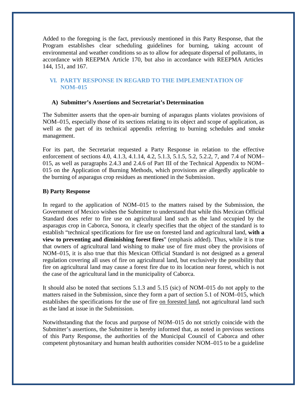Added to the foregoing is the fact, previously mentioned in this Party Response, that the Program establishes clear scheduling guidelines for burning, taking account of environmental and weather conditions so as to allow for adequate dispersal of pollutants, in accordance with REEPMA Article 170, but also in accordance with REEPMA Articles 144, 151, and 167.

## **VI. PARTY RESPONSE IN REGARD TO THE IMPLEMENTATION OF NOM–015**

## **A) Submitter's Assertions and Secretariat's Determination**

The Submitter asserts that the open-air burning of asparagus plants violates provisions of NOM–015, especially those of its sections relating to its object and scope of application, as well as the part of its technical appendix referring to burning schedules and smoke management.

For its part, the Secretariat requested a Party Response in relation to the effective enforcement of sections 4.0, 4.1.3, 4.1.14, 4.2, 5.1.3, 5.1.5, 5.2, 5.2.2, 7, and 7.4 of NOM– 015, as well as paragraphs 2.4.3 and 2.4.6 of Part III of the Technical Appendix to NOM– 015 on the Application of Burning Methods, which provisions are allegedly applicable to the burning of asparagus crop residues as mentioned in the Submission.

#### **B) Party Response**

In regard to the application of NOM–015 to the matters raised by the Submission, the Government of Mexico wishes the Submitter to understand that while this Mexican Official Standard does refer to fire use on agricultural land such as the land occupied by the asparagus crop in Caborca, Sonora, it clearly specifies that the object of the standard is to establish "technical specifications for fire use on forested land and agricultural land, **with a view to preventing and diminishing forest fires**" (emphasis added). Thus, while it is true that owners of agricultural land wishing to make use of fire must obey the provisions of NOM–015, it is also true that this Mexican Official Standard is not designed as a general regulation covering all uses of fire on agricultural land, but exclusively the possibility that fire on agricultural land may cause a forest fire due to its location near forest, which is not the case of the agricultural land in the municipality of Caborca.

It should also be noted that sections 5.1.3 and 5.15 (sic) of NOM–015 do not apply to the matters raised in the Submission, since they form a part of section 5.1 of NOM–015, which establishes the specifications for the use of fire on forested land, not agricultural land such as the land at issue in the Submission.

Notwithstanding that the focus and purpose of NOM–015 do not strictly coincide with the Submitter's assertions, the Submitter is hereby informed that, as noted in previous sections of this Party Response, the authorities of the Municipal Council of Caborca and other competent phytosanitary and human health authorities consider NOM–015 to be a guideline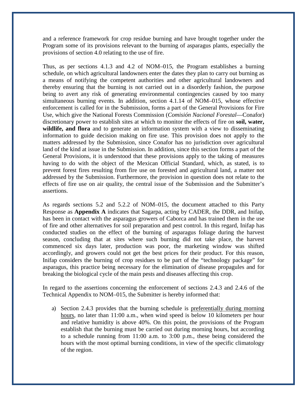and a reference framework for crop residue burning and have brought together under the Program some of its provisions relevant to the burning of asparagus plants, especially the provisions of section 4.0 relating to the use of fire.

Thus, as per sections 4.1.3 and 4.2 of NOM–015, the Program establishes a burning schedule, on which agricultural landowners enter the dates they plan to carry out burning as a means of notifying the competent authorities and other agricultural landowners and thereby ensuring that the burning is not carried out in a disorderly fashion, the purpose being to avert any risk of generating environmental contingencies caused by too many simultaneous burning events. In addition, section 4.1.14 of NOM–015, whose effective enforcement is called for in the Submission, forms a part of the General Provisions for Fire Use, which give the National Forests Commission (*Comisión Nacional Forestal*—Conafor) discretionary power to establish sites at which to monitor the effects of fire on **soil, water, wildlife, and flora** and to generate an information system with a view to disseminating information to guide decision making on fire use. This provision does not apply to the matters addressed by the Submission, since Conafor has no jurisdiction over agricultural land of the kind at issue in the Submission. In addition, since this section forms a part of the General Provisions, it is understood that these provisions apply to the taking of measures having to do with the object of the Mexican Official Standard, which, as stated, is to prevent forest fires resulting from fire use on forested and agricultural land, a matter not addressed by the Submission. Furthermore, the provision in question does not relate to the effects of fire use on air quality, the central issue of the Submission and the Submitter's assertions.

As regards sections 5.2 and 5.2.2 of NOM–015, the document attached to this Party Response as **Appendix A** indicates that Sagarpa, acting by CADER, the DDR, and Inifap, has been in contact with the asparagus growers of Caborca and has trained them in the use of fire and other alternatives for soil preparation and pest control. In this regard, Inifap has conducted studies on the effect of the burning of asparagus foliage during the harvest season, concluding that at sites where such burning did not take place, the harvest commenced six days later, production was poor, the marketing window was shifted accordingly, and growers could not get the best prices for their product. For this reason, Inifap considers the burning of crop residues to be part of the "technology package" for asparagus, this practice being necessary for the elimination of disease propagules and for breaking the biological cycle of the main pests and diseases affecting this crop.

In regard to the assertions concerning the enforcement of sections 2.4.3 and 2.4.6 of the Technical Appendix to NOM–015, the Submitter is hereby informed that:

a) Section 2.4.3 provides that the burning schedule is preferentially during morning hours, no later than 11:00 a.m., when wind speed is below 10 kilometers per hour and relative humidity is above 40%. On this point, the provisions of the Program establish that the burning must be carried out during morning hours, but according to a schedule running from 11:00 a.m. to 3:00 p.m., these being considered the hours with the most optimal burning conditions, in view of the specific climatology of the region.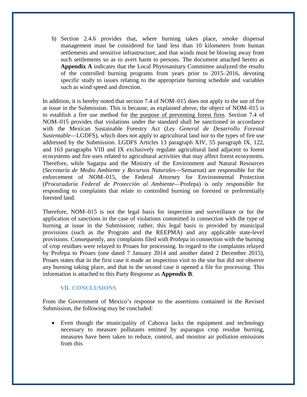b) Section 2.4.6 provides that, where burning takes place, smoke dispersal management must be considered for land less than 10 kilometers from human settlements and sensitive infrastructure, and that winds must be blowing away from such settlements so as to avert harm to persons. The document attached hereto as **Appendix A** indicates that the Local Phytosanitary Committee analyzed the results of the controlled burning programs from years prior to 2015–2016, devoting specific study to issues relating to the appropriate burning schedule and variables such as wind speed and direction.

In addition, it is hereby noted that section 7.4 of NOM–015 does not apply to the use of fire at issue in the Submission. This is because, as explained above, the object of NOM–015 is to establish a fire use method for the purpose of preventing forest fires. Section 7.4 of NOM–015 provides that violations under the standard shall be sanctioned in accordance with the Mexican Sustainable Forestry Act (*Ley General de Desarrollo Forestal Sustentable*—LGDFS), which does not apply to agricultural land nor to the types of fire use addressed by the Submission. LGDFS Articles 13 paragraph XIV, 55 paragraph IX, 122, and 163 paragraphs VIII and IX exclusively regulate agricultural land adjacent to forest ecosystems and fire uses related to agricultural activities that may affect forest ecosystems. Therefore, while Sagarpa and the Ministry of the Environment and Natural Resources (*Secretaría de Medio Ambiente y Recursos Naturales*—Semarnat) are responsible for the enforcement of NOM–015, the Federal Attorney for Environmental Protection (*Procuraduría Federal de Protección al Ambiente*—Profepa) is only responsible for responding to complaints that relate to controlled burning on forested or preferentially forested land.

Therefore, NOM–015 is not the legal basis for inspection and surveillance or for the application of sanctions in the case of violations committed in connection with the type of burning at issue in the Submission; rather, this legal basis is provided by municipal provisions (such as the Program and the REEPMA) and any applicable state-level provisions. Consequently, any complaints filed with Profepa in connection with the burning of crop residues were relayed to Proaes for processing. In regard to the complaints relayed by Profepa to Proaes (one dated 7 January 2014 and another dated 2 December 2015), Proaes states that in the first case it made an inspection visit to the site but did not observe any burning taking place, and that in the second case it opened a file for processing. This information is attached to this Party Response as **Appendix B**.

## **VII. CONCLUSIONS**

From the Government of Mexico's response to the assertions contained in the Revised Submission, the following may be concluded:

Even though the municipality of Caborca lacks the equipment and technology necessary to measure pollutants emitted by asparagus crop residue burning, measures have been taken to reduce, control, and monitor air pollution emissions from this